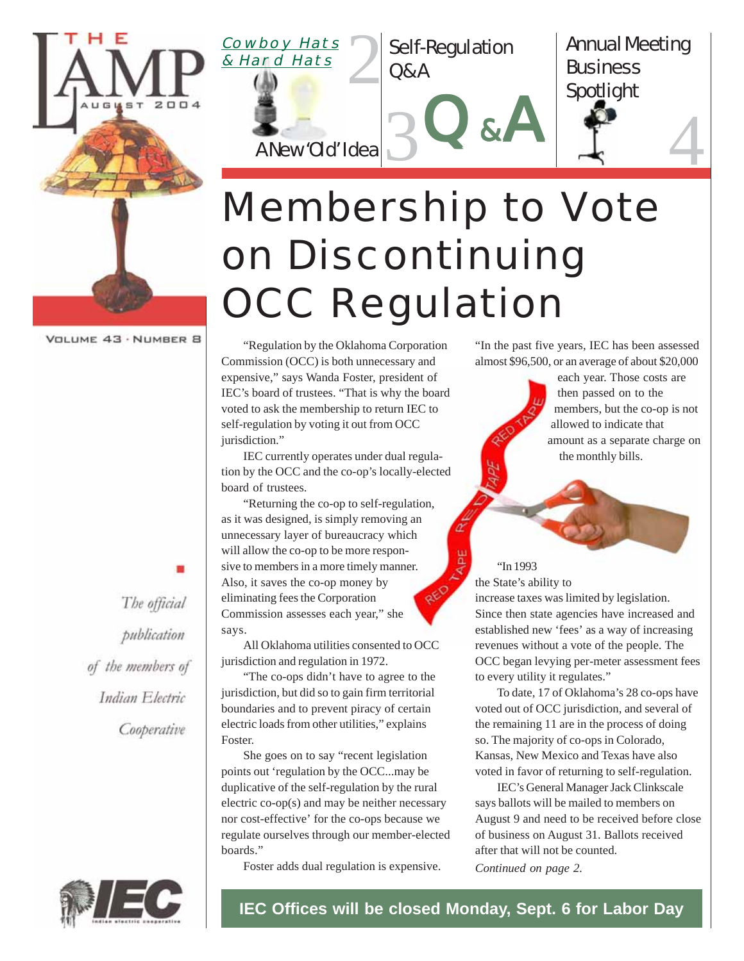

VOLUME 43 · NUMBER 8

The official publication of the members of Indian Electric Cooperative



# Membership to Vote on Discontinuing **OCC Regulation**

"Regulation by the Oklahoma Corporation Commission (OCC) is both unnecessary and expensive," says Wanda Foster, president of IEC's board of trustees. "That is why the board voted to ask the membership to return IEC to self-regulation by voting it out from OCC jurisdiction."

IEC currently operates under dual regulation by the OCC and the co-op's locally-elected board of trustees.

"Returning the co-op to self-regulation, as it was designed, is simply removing an unnecessary layer of bureaucracy which will allow the co-op to be more responsive to members in a more timely manner. Also, it saves the co-op money by eliminating fees the Corporation Commission assesses each year," she says.

All Oklahoma utilities consented to OCC jurisdiction and regulation in 1972.

"The co-ops didn't have to agree to the jurisdiction, but did so to gain firm territorial boundaries and to prevent piracy of certain electric loads from other utilities," explains Foster.

She goes on to say "recent legislation points out 'regulation by the OCC...may be duplicative of the self-regulation by the rural electric co-op(s) and may be neither necessary nor cost-effective' for the co-ops because we regulate ourselves through our member-elected boards."

Foster adds dual regulation is expensive.

"In the past five years, IEC has been assessed almost \$96,500, or an average of about \$20,000

> each year. Those costs are then passed on to the members, but the co-op is not allowed to indicate that amount as a separate charge on the monthly bills.

Annual Meeting

**Business** 

Spotlight

"In 1993 the State's ability to

increase taxes was limited by legislation. Since then state agencies have increased and established new 'fees' as a way of increasing revenues without a vote of the people. The OCC began levying per-meter assessment fees to every utility it regulates."

To date, 17 of Oklahoma's 28 co-ops have voted out of OCC jurisdiction, and several of the remaining 11 are in the process of doing so. The majority of co-ops in Colorado, Kansas, New Mexico and Texas have also voted in favor of returning to self-regulation.

IEC's General Manager Jack Clinkscale says ballots will be mailed to members on August 9 and need to be received before close of business on August 31. Ballots received after that will not be counted.

*Continued on page 2.*



**IEC Offices will be closed Monday, Sept. 6 for Labor Day**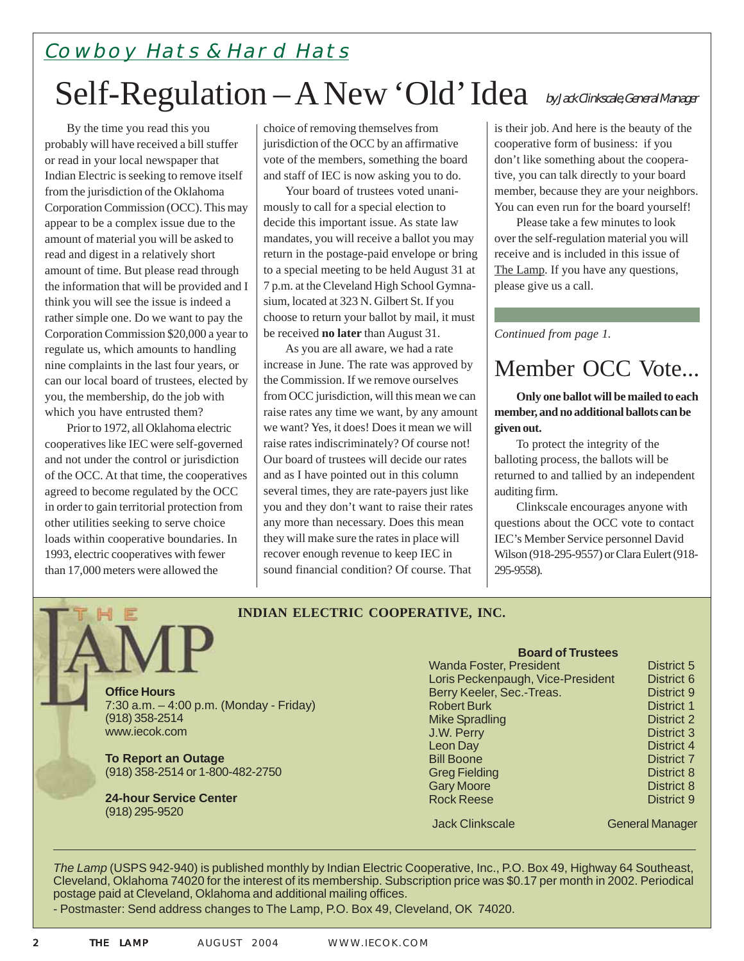Self-Regulation - A New 'Old' Idea by Jack Clinkscale, General Manager Cowboy Hats & Hard Hats

By the time you read this you probably will have received a bill stuffer or read in your local newspaper that Indian Electric is seeking to remove itself from the jurisdiction of the Oklahoma Corporation Commission (OCC). This may appear to be a complex issue due to the amount of material you will be asked to read and digest in a relatively short amount of time. But please read through the information that will be provided and I think you will see the issue is indeed a rather simple one. Do we want to pay the Corporation Commission \$20,000 a year to regulate us, which amounts to handling nine complaints in the last four years, or can our local board of trustees, elected by you, the membership, do the job with which you have entrusted them?

Prior to 1972, all Oklahoma electric cooperatives like IEC were self-governed and not under the control or jurisdiction of the OCC. At that time, the cooperatives agreed to become regulated by the OCC in order to gain territorial protection from other utilities seeking to serve choice loads within cooperative boundaries. In 1993, electric cooperatives with fewer than 17,000 meters were allowed the

choice of removing themselves from jurisdiction of the OCC by an affirmative vote of the members, something the board and staff of IEC is now asking you to do.

Your board of trustees voted unanimously to call for a special election to decide this important issue. As state law mandates, you will receive a ballot you may return in the postage-paid envelope or bring to a special meeting to be held August 31 at 7 p.m. at the Cleveland High School Gymnasium, located at 323 N. Gilbert St. If you choose to return your ballot by mail, it must be received **no later** than August 31.

As you are all aware, we had a rate increase in June. The rate was approved by the Commission. If we remove ourselves from OCC jurisdiction, will this mean we can raise rates any time we want, by any amount we want? Yes, it does! Does it mean we will raise rates indiscriminately? Of course not! Our board of trustees will decide our rates and as I have pointed out in this column several times, they are rate-payers just like you and they don't want to raise their rates any more than necessary. Does this mean they will make sure the rates in place will recover enough revenue to keep IEC in sound financial condition? Of course. That

is their job. And here is the beauty of the cooperative form of business: if you don't like something about the cooperative, you can talk directly to your board member, because they are your neighbors. You can even run for the board yourself!

Please take a few minutes to look over the self-regulation material you will receive and is included in this issue of The Lamp. If you have any questions, please give us a call.

*Continued from page 1.*

### Member OCC Vote...

**Only one ballot will be mailed to each member, and no additional ballots can be given out.**

To protect the integrity of the balloting process, the ballots will be returned to and tallied by an independent auditing firm.

Clinkscale encourages anyone with questions about the OCC vote to contact IEC's Member Service personnel David Wilson (918-295-9557) or Clara Eulert (918- 295-9558).

#### **INDIAN ELECTRIC COOPERATIVE, INC.**

**Office Hours** 7:30 a.m. – 4:00 p.m. (Monday - Friday) (918) 358-2514 www.iecok.com

**To Report an Outage** (918) 358-2514 or 1-800-482-2750

**24-hour Service Center** (918) 295-9520

#### **Board of Trustees**

| <b>Wanda Foster, President</b>    | District 5        |
|-----------------------------------|-------------------|
| Loris Peckenpaugh, Vice-President | District 6        |
| Berry Keeler, Sec.-Treas.         | District 9        |
| <b>Robert Burk</b>                | <b>District 1</b> |
| <b>Mike Spradling</b>             | District 2        |
| J.W. Perry                        | District 3        |
| <b>Leon Day</b>                   | District 4        |
| <b>Bill Boone</b>                 | <b>District 7</b> |
| <b>Greg Fielding</b>              | <b>District 8</b> |
| <b>Gary Moore</b>                 | District 8        |
| <b>Rock Reese</b>                 | District 9        |
|                                   |                   |

**Jack Clinkscale** General Manager

*The Lamp* (USPS 942-940) is published monthly by Indian Electric Cooperative, Inc., P.O. Box 49, Highway 64 Southeast, Cleveland, Oklahoma 74020 for the interest of its membership. Subscription price was \$0.17 per month in 2002. Periodical postage paid at Cleveland, Oklahoma and additional mailing offices.

- Postmaster: Send address changes to The Lamp, P.O. Box 49, Cleveland, OK 74020.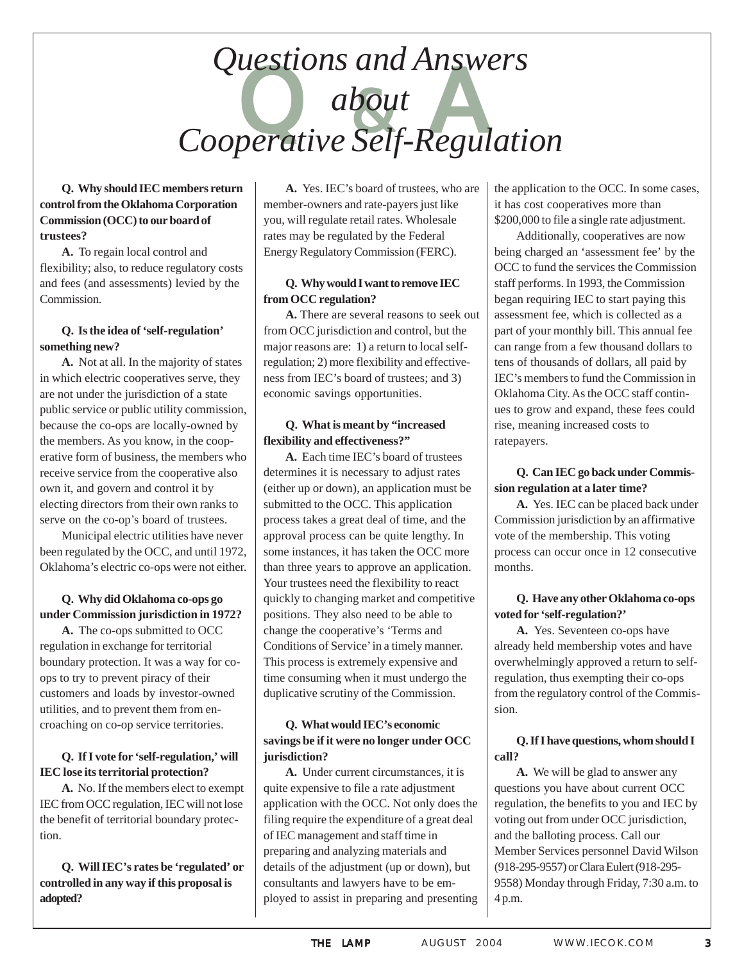## Questions and Answers<br>about<br>operative Self-Regulati *about Cooperative Self-Regulation*

#### **Q. Why should IEC members return control from the Oklahoma Corporation Commission (OCC) to our board of trustees?**

**A.** To regain local control and flexibility; also, to reduce regulatory costs and fees (and assessments) levied by the Commission.

#### **Q. Is the idea of 'self-regulation' something new?**

**A.** Not at all. In the majority of states in which electric cooperatives serve, they are not under the jurisdiction of a state public service or public utility commission, because the co-ops are locally-owned by the members. As you know, in the cooperative form of business, the members who receive service from the cooperative also own it, and govern and control it by electing directors from their own ranks to serve on the co-op's board of trustees.

Municipal electric utilities have never been regulated by the OCC, and until 1972, Oklahoma's electric co-ops were not either.

#### **Q. Why did Oklahoma co-ops go under Commission jurisdiction in 1972?**

**A.** The co-ops submitted to OCC regulation in exchange for territorial boundary protection. It was a way for coops to try to prevent piracy of their customers and loads by investor-owned utilities, and to prevent them from encroaching on co-op service territories.

#### **Q. If I vote for 'self-regulation,' will IEC lose its territorial protection?**

**A.** No. If the members elect to exempt IEC from OCC regulation, IEC will not lose the benefit of territorial boundary protection.

#### **Q. Will IEC's rates be 'regulated' or controlled in any way if this proposal is adopted?**

**A.** Yes. IEC's board of trustees, who are member-owners and rate-payers just like you, will regulate retail rates. Wholesale rates may be regulated by the Federal Energy Regulatory Commission (FERC).

#### **Q. Why would I want to remove IEC from OCC regulation?**

**A.** There are several reasons to seek out from OCC jurisdiction and control, but the major reasons are: 1) a return to local selfregulation; 2) more flexibility and effectiveness from IEC's board of trustees; and 3) economic savings opportunities.

#### **Q. What is meant by "increased flexibility and effectiveness?"**

**A.** Each time IEC's board of trustees determines it is necessary to adjust rates (either up or down), an application must be submitted to the OCC. This application process takes a great deal of time, and the approval process can be quite lengthy. In some instances, it has taken the OCC more than three years to approve an application. Your trustees need the flexibility to react quickly to changing market and competitive positions. They also need to be able to change the cooperative's 'Terms and Conditions of Service' in a timely manner. This process is extremely expensive and time consuming when it must undergo the duplicative scrutiny of the Commission.

#### **Q. What would IEC's economic savings be if it were no longer under OCC jurisdiction?**

**A.** Under current circumstances, it is quite expensive to file a rate adjustment application with the OCC. Not only does the filing require the expenditure of a great deal of IEC management and staff time in preparing and analyzing materials and details of the adjustment (up or down), but consultants and lawyers have to be employed to assist in preparing and presenting the application to the OCC. In some cases, it has cost cooperatives more than \$200,000 to file a single rate adjustment.

Additionally, cooperatives are now being charged an 'assessment fee' by the OCC to fund the services the Commission staff performs. In 1993, the Commission began requiring IEC to start paying this assessment fee, which is collected as a part of your monthly bill. This annual fee can range from a few thousand dollars to tens of thousands of dollars, all paid by IEC's members to fund the Commission in Oklahoma City. As the OCC staff continues to grow and expand, these fees could rise, meaning increased costs to ratepayers.

#### **Q. Can IEC go back under Commission regulation at a later time?**

**A.** Yes. IEC can be placed back under Commission jurisdiction by an affirmative vote of the membership. This voting process can occur once in 12 consecutive months.

#### **Q. Have any other Oklahoma co-ops voted for 'self-regulation?'**

**A.** Yes. Seventeen co-ops have already held membership votes and have overwhelmingly approved a return to selfregulation, thus exempting their co-ops from the regulatory control of the Commission.

#### **Q. If I have questions, whom should I call?**

**A.** We will be glad to answer any questions you have about current OCC regulation, the benefits to you and IEC by voting out from under OCC jurisdiction, and the balloting process. Call our Member Services personnel David Wilson (918-295-9557) or Clara Eulert (918-295- 9558) Monday through Friday, 7:30 a.m. to 4 p.m.